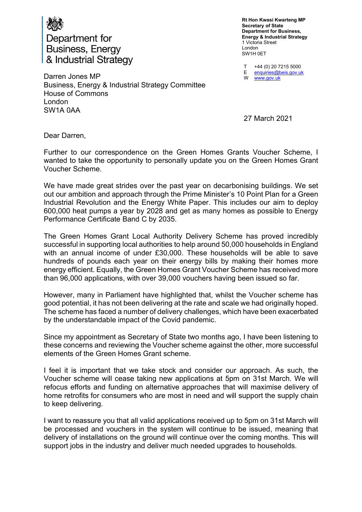

Department for **Business, Energy** & Industrial Strategy

Rt Hon Kwasi Kwarteng MP Secretary of State Department for Business, Energy & Industrial Strategy 1 Victoria Street London SW1H 0ET

T E W +44 (0) 20 7215 5000 enquiries@beis.gov.uk www.gov.uk

Darren Jones MP Business, Energy & Industrial Strategy Committee House of Commons London SW1A 0AA

27 March 2021

Dear Darren,

Further to our correspondence on the Green Homes Grants Voucher Scheme, I wanted to take the opportunity to personally update you on the Green Homes Grant Voucher Scheme.

We have made great strides over the past year on decarbonising buildings. We set out our ambition and approach through the Prime Minister's 10 Point Plan for a Green Industrial Revolution and the Energy White Paper. This includes our aim to deploy 600,000 heat pumps a year by 2028 and get as many homes as possible to Energy Performance Certificate Band C by 2035.

The Green Homes Grant Local Authority Delivery Scheme has proved incredibly successful in supporting local authorities to help around 50,000 households in England with an annual income of under £30,000. These households will be able to save hundreds of pounds each year on their energy bills by making their homes more energy efficient. Equally, the Green Homes Grant Voucher Scheme has received more than 96,000 applications, with over 39,000 vouchers having been issued so far.

However, many in Parliament have highlighted that, whilst the Voucher scheme has good potential, it has not been delivering at the rate and scale we had originally hoped. The scheme has faced a number of delivery challenges, which have been exacerbated by the understandable impact of the Covid pandemic.

Since my appointment as Secretary of State two months ago, I have been listening to these concerns and reviewing the Voucher scheme against the other, more successful elements of the Green Homes Grant scheme.

I feel it is important that we take stock and consider our approach. As such, the Voucher scheme will cease taking new applications at 5pm on 31st March. We will refocus efforts and funding on alternative approaches that will maximise delivery of home retrofits for consumers who are most in need and will support the supply chain to keep delivering.

I want to reassure you that all valid applications received up to 5pm on 31st March will be processed and vouchers in the system will continue to be issued, meaning that delivery of installations on the ground will continue over the coming months. This will support jobs in the industry and deliver much needed upgrades to households.